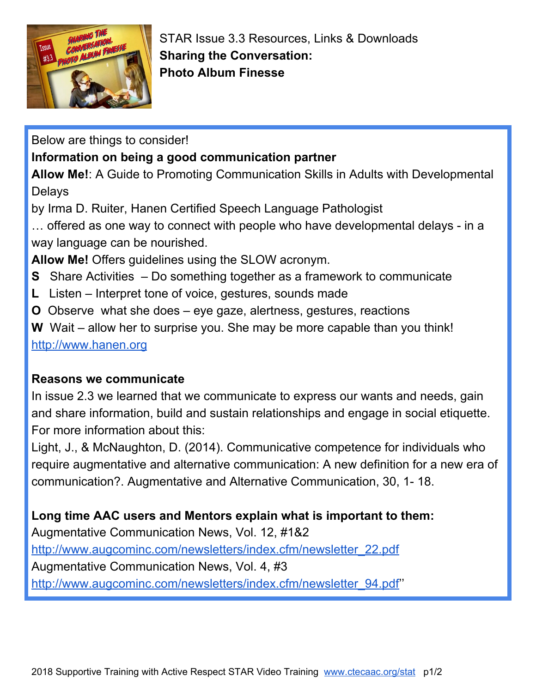

STAR Issue 3.3 Resources, Links & Downloads **Sharing the Conversation: Photo Album Finesse**

Below are things to consider!

## **Information on being a good communication partner**

**Allow Me!**: A Guide to Promoting Communication Skills in Adults with Developmental Delays

by Irma D. Ruiter, Hanen Certified Speech Language Pathologist

… offered as one way to connect with people who have developmental delays - in a way language can be nourished.

**Allow Me!** Offers guidelines using the SLOW acronym.

- **S** Share Activities Do something together as a framework to communicate
- **L** Listen Interpret tone of voice, gestures, sounds made
- **O** Observe what she does eye gaze, alertness, gestures, reactions

**W** Wait – allow her to surprise you. She may be more capable than you think! [http://www.hanen.org](http://www.hanen.org/)

### **Reasons we communicate**

In issue 2.3 we learned that we communicate to express our wants and needs, gain and share information, build and sustain relationships and engage in social etiquette. For more information about this:

Light, J., & McNaughton, D. (2014). Communicative competence for individuals who require augmentative and alternative communication: A new definition for a new era of communication?. Augmentative and Alternative Communication, 30, 1- 18.

# **Long time AAC users and Mentors explain what is important to them:**

Augmentative Communication News, Vol. 12, #1&2 [http://www.augcominc.com/newsletters/index.cfm/newsletter\\_22.pdf](http://www.augcominc.com/newsletters/index.cfm/newsletter_22.pdf) Augmentative Communication News, Vol. 4, #3 [http://www.augcominc.com/newsletters/index.cfm/newsletter\\_94.pdf'](http://www.augcominc.com/newsletters/index.cfm/newsletter_94.pdf)'